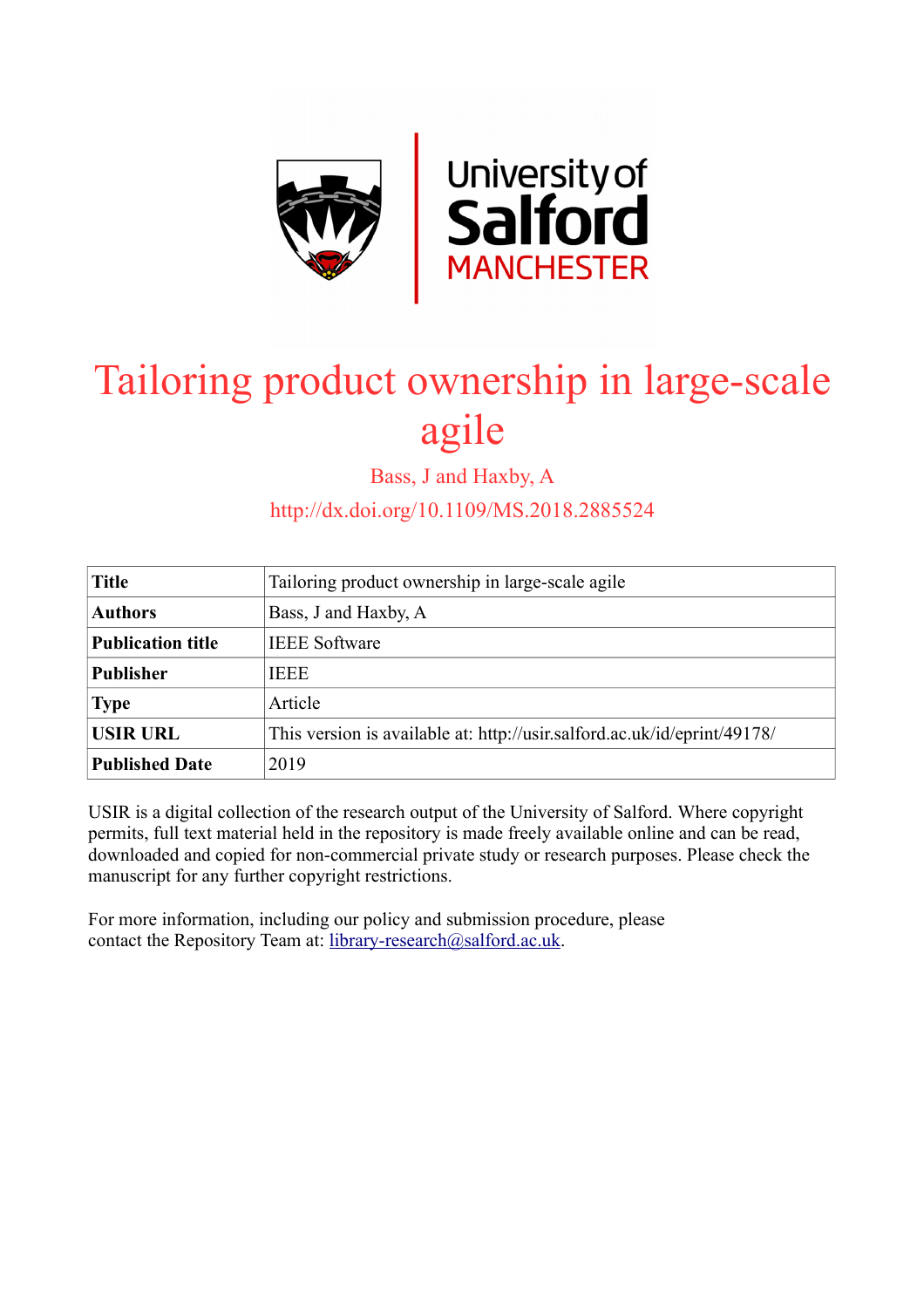

# Tailoring product ownership in large-scale agile

Bass, J and Haxby, A

http://dx.doi.org/10.1109/MS.2018.2885524

| <b>Title</b>             | Tailoring product ownership in large-scale agile                         |  |  |
|--------------------------|--------------------------------------------------------------------------|--|--|
| <b>Authors</b>           | Bass, J and Haxby, A                                                     |  |  |
| <b>Publication title</b> | <b>IEEE</b> Software                                                     |  |  |
| <b>Publisher</b>         | <b>IEEE</b>                                                              |  |  |
| <b>Type</b>              | Article                                                                  |  |  |
| <b>USIR URL</b>          | This version is available at: http://usir.salford.ac.uk/id/eprint/49178/ |  |  |
| <b>Published Date</b>    | 2019                                                                     |  |  |

USIR is a digital collection of the research output of the University of Salford. Where copyright permits, full text material held in the repository is made freely available online and can be read, downloaded and copied for non-commercial private study or research purposes. Please check the manuscript for any further copyright restrictions.

For more information, including our policy and submission procedure, please contact the Repository Team at: [library-research@salford.ac.uk.](mailto:library-research@salford.ac.uk)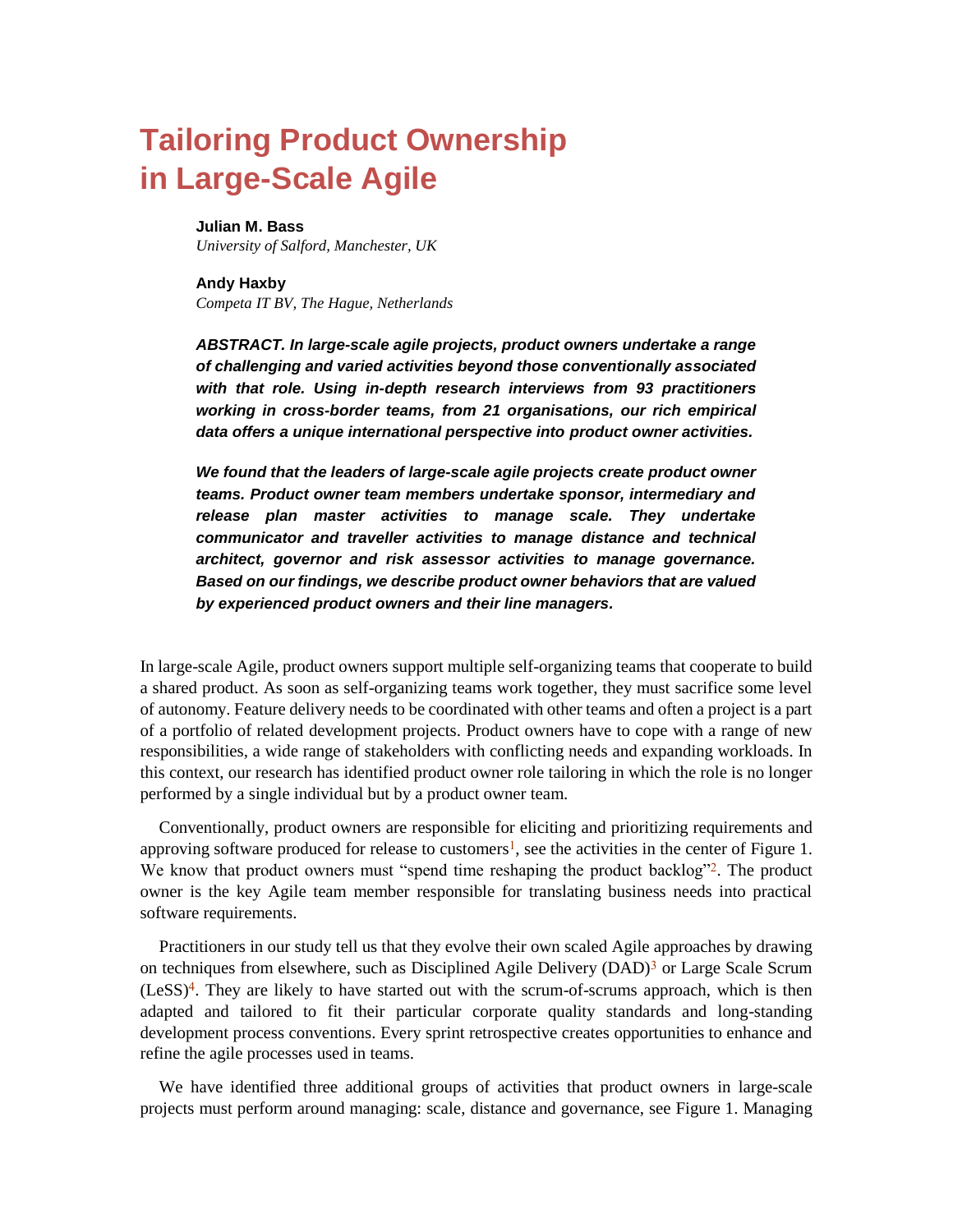# **Tailoring Product Ownership in Large-Scale Agile**

#### **Julian M. Bass**

*University of Salford, Manchester, UK*

#### **Andy Haxby** *Competa IT BV, The Hague, Netherlands*

*ABSTRACT. In large-scale agile projects, product owners undertake a range of challenging and varied activities beyond those conventionally associated with that role. Using in-depth research interviews from 93 practitioners working in cross-border teams, from 21 organisations, our rich empirical data offers a unique international perspective into product owner activities.*

*We found that the leaders of large-scale agile projects create product owner teams. Product owner team members undertake sponsor, intermediary and release plan master activities to manage scale. They undertake communicator and traveller activities to manage distance and technical architect, governor and risk assessor activities to manage governance. Based on our findings, we describe product owner behaviors that are valued by experienced product owners and their line managers.* 

In large-scale Agile, product owners support multiple self-organizing teams that cooperate to build a shared product. As soon as self-organizing teams work together, they must sacrifice some level of autonomy. Feature delivery needs to be coordinated with other teams and often a project is a part of a portfolio of related development projects. Product owners have to cope with a range of new responsibilities, a wide range of stakeholders with conflicting needs and expanding workloads. In this context, our research has identified product owner role tailoring in which the role is no longer performed by a single individual but by a product owner team.

Conventionally, product owners are responsible for eliciting and prioritizing requirements and approving software produced for release to customers<sup>1</sup>, see the activities in the center of Figure 1. We know that product owners must "spend time reshaping the product backlog"<sup>2</sup>. The product owner is the key Agile team member responsible for translating business needs into practical software requirements.

Practitioners in our study tell us that they evolve their own scaled Agile approaches by drawing on techniques from elsewhere, such as Disciplined Agile Delivery (DAD)<sup>3</sup> or Large Scale Scrum  $(LESS)<sup>4</sup>$ . They are likely to have started out with the scrum-of-scrums approach, which is then adapted and tailored to fit their particular corporate quality standards and long-standing development process conventions. Every sprint retrospective creates opportunities to enhance and refine the agile processes used in teams.

We have identified three additional groups of activities that product owners in large-scale projects must perform around managing: scale, distance and governance, see Figure 1. Managing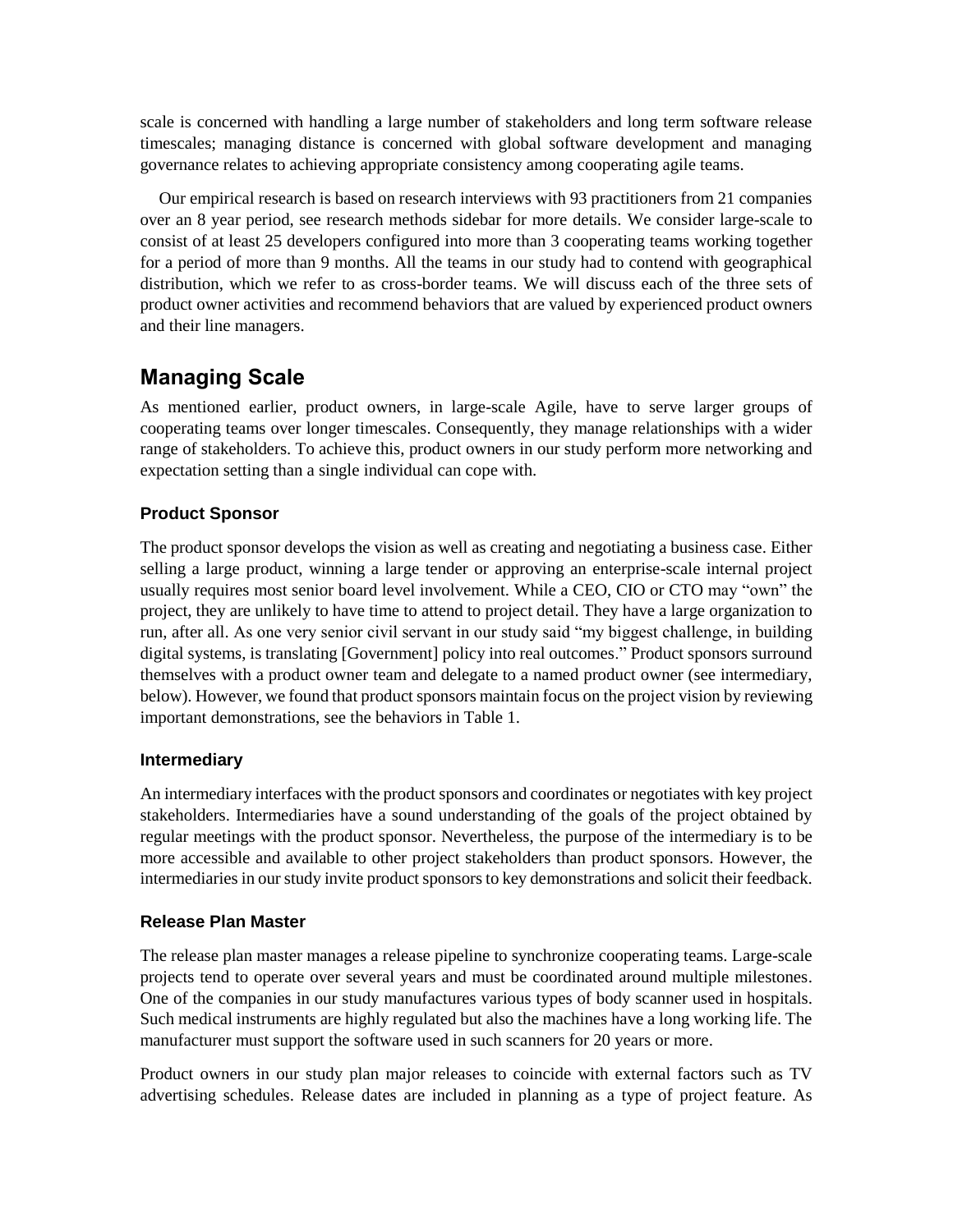scale is concerned with handling a large number of stakeholders and long term software release timescales; managing distance is concerned with global software development and managing governance relates to achieving appropriate consistency among cooperating agile teams.

Our empirical research is based on research interviews with 93 practitioners from 21 companies over an 8 year period, see research methods sidebar for more details. We consider large-scale to consist of at least 25 developers configured into more than 3 cooperating teams working together for a period of more than 9 months. All the teams in our study had to contend with geographical distribution, which we refer to as cross-border teams. We will discuss each of the three sets of product owner activities and recommend behaviors that are valued by experienced product owners and their line managers.

# **Managing Scale**

As mentioned earlier, product owners, in large-scale Agile, have to serve larger groups of cooperating teams over longer timescales. Consequently, they manage relationships with a wider range of stakeholders. To achieve this, product owners in our study perform more networking and expectation setting than a single individual can cope with.

# **Product Sponsor**

The product sponsor develops the vision as well as creating and negotiating a business case. Either selling a large product, winning a large tender or approving an enterprise-scale internal project usually requires most senior board level involvement. While a CEO, CIO or CTO may "own" the project, they are unlikely to have time to attend to project detail. They have a large organization to run, after all. As one very senior civil servant in our study said "my biggest challenge, in building digital systems, is translating [Government] policy into real outcomes." Product sponsors surround themselves with a product owner team and delegate to a named product owner (see intermediary, below). However, we found that product sponsors maintain focus on the project vision by reviewing important demonstrations, see the behaviors in Table 1.

# **Intermediary**

An intermediary interfaces with the product sponsors and coordinates or negotiates with key project stakeholders. Intermediaries have a sound understanding of the goals of the project obtained by regular meetings with the product sponsor. Nevertheless, the purpose of the intermediary is to be more accessible and available to other project stakeholders than product sponsors. However, the intermediaries in our study invite product sponsors to key demonstrations and solicit their feedback.

# **Release Plan Master**

The release plan master manages a release pipeline to synchronize cooperating teams. Large-scale projects tend to operate over several years and must be coordinated around multiple milestones. One of the companies in our study manufactures various types of body scanner used in hospitals. Such medical instruments are highly regulated but also the machines have a long working life. The manufacturer must support the software used in such scanners for 20 years or more.

Product owners in our study plan major releases to coincide with external factors such as TV advertising schedules. Release dates are included in planning as a type of project feature. As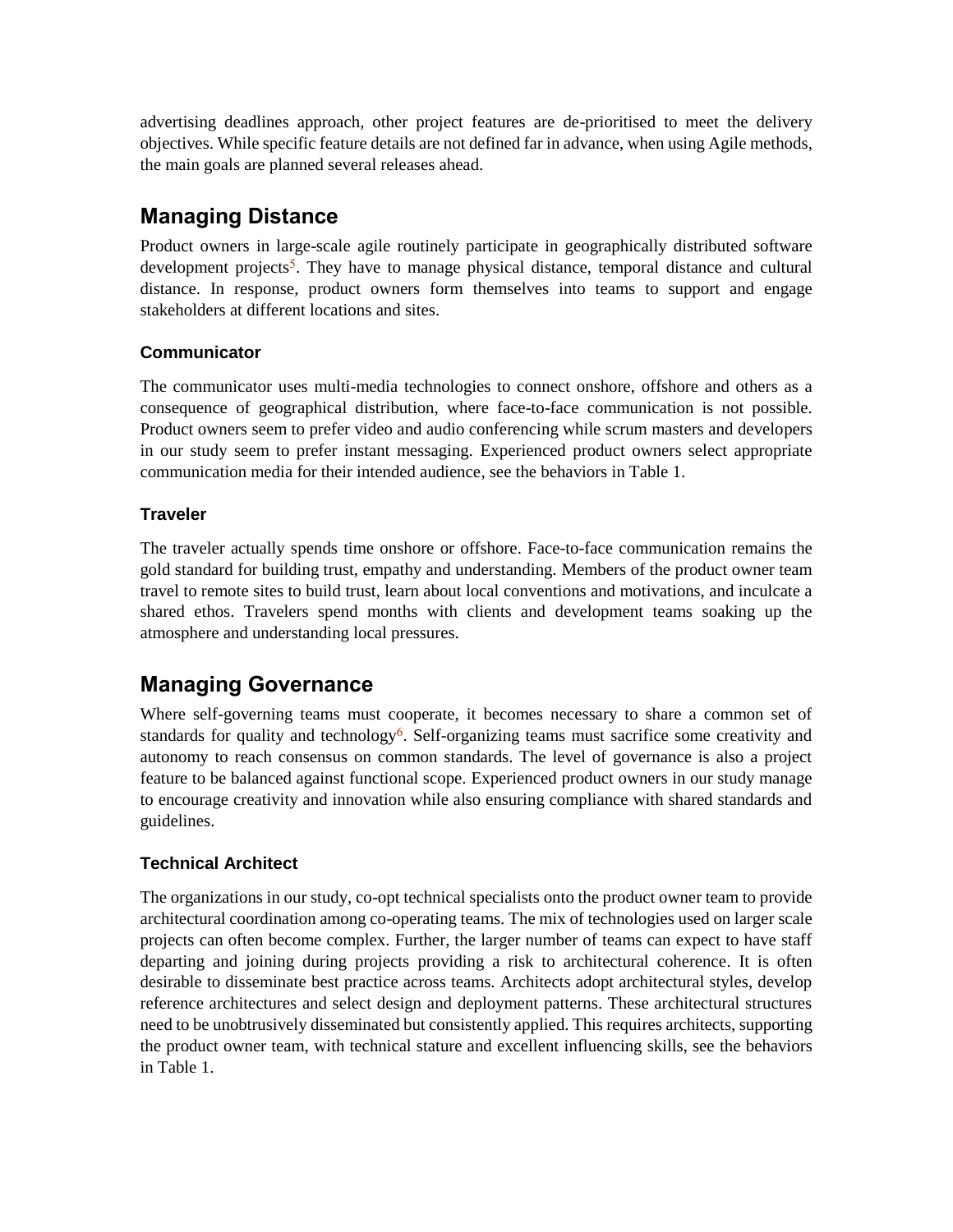advertising deadlines approach, other project features are de-prioritised to meet the delivery objectives. While specific feature details are not defined far in advance, when using Agile methods, the main goals are planned several releases ahead.

# **Managing Distance**

Product owners in large-scale agile routinely participate in geographically distributed software development projects<sup>5</sup>. They have to manage physical distance, temporal distance and cultural distance. In response, product owners form themselves into teams to support and engage stakeholders at different locations and sites.

# **Communicator**

The communicator uses multi-media technologies to connect onshore, offshore and others as a consequence of geographical distribution, where face-to-face communication is not possible. Product owners seem to prefer video and audio conferencing while scrum masters and developers in our study seem to prefer instant messaging. Experienced product owners select appropriate communication media for their intended audience, see the behaviors in Table 1.

# **Traveler**

The traveler actually spends time onshore or offshore. Face-to-face communication remains the gold standard for building trust, empathy and understanding. Members of the product owner team travel to remote sites to build trust, learn about local conventions and motivations, and inculcate a shared ethos. Travelers spend months with clients and development teams soaking up the atmosphere and understanding local pressures.

# **Managing Governance**

Where self-governing teams must cooperate, it becomes necessary to share a common set of standards for quality and technology<sup>6</sup>. Self-organizing teams must sacrifice some creativity and autonomy to reach consensus on common standards. The level of governance is also a project feature to be balanced against functional scope. Experienced product owners in our study manage to encourage creativity and innovation while also ensuring compliance with shared standards and guidelines.

# **Technical Architect**

The organizations in our study, co-opt technical specialists onto the product owner team to provide architectural coordination among co-operating teams. The mix of technologies used on larger scale projects can often become complex. Further, the larger number of teams can expect to have staff departing and joining during projects providing a risk to architectural coherence. It is often desirable to disseminate best practice across teams. Architects adopt architectural styles, develop reference architectures and select design and deployment patterns. These architectural structures need to be unobtrusively disseminated but consistently applied. This requires architects, supporting the product owner team, with technical stature and excellent influencing skills, see the behaviors in Table 1.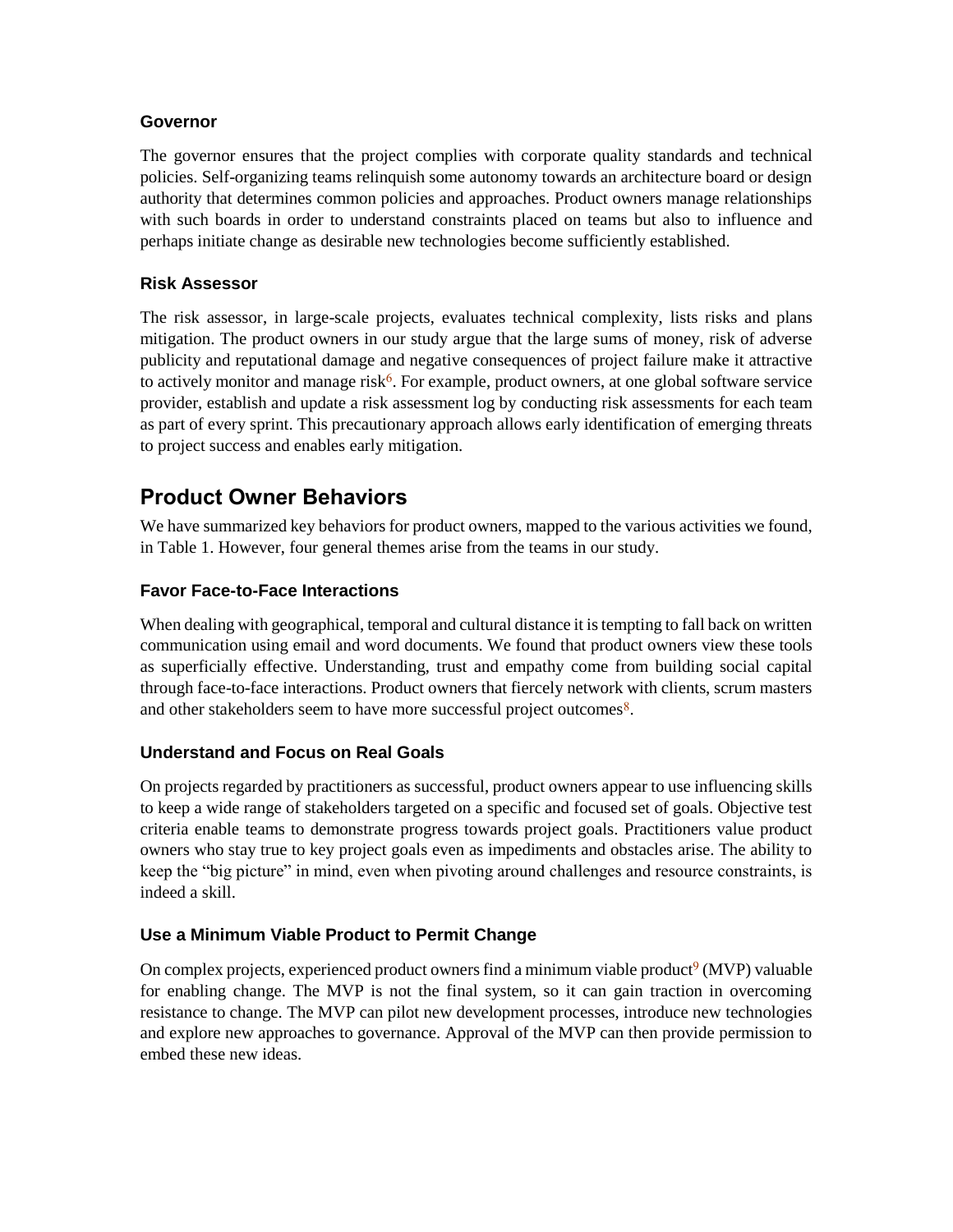#### **Governor**

The governor ensures that the project complies with corporate quality standards and technical policies. Self-organizing teams relinquish some autonomy towards an architecture board or design authority that determines common policies and approaches. Product owners manage relationships with such boards in order to understand constraints placed on teams but also to influence and perhaps initiate change as desirable new technologies become sufficiently established.

# **Risk Assessor**

The risk assessor, in large-scale projects, evaluates technical complexity, lists risks and plans mitigation. The product owners in our study argue that the large sums of money, risk of adverse publicity and reputational damage and negative consequences of project failure make it attractive to actively monitor and manage risk<sup>6</sup>. For example, product owners, at one global software service provider, establish and update a risk assessment log by conducting risk assessments for each team as part of every sprint. This precautionary approach allows early identification of emerging threats to project success and enables early mitigation.

# **Product Owner Behaviors**

We have summarized key behaviors for product owners, mapped to the various activities we found, in Table 1. However, four general themes arise from the teams in our study.

# **Favor Face-to-Face Interactions**

When dealing with geographical, temporal and cultural distance it is tempting to fall back on written communication using email and word documents. We found that product owners view these tools as superficially effective. Understanding, trust and empathy come from building social capital through face-to-face interactions. Product owners that fiercely network with clients, scrum masters and other stakeholders seem to have more successful project outcomes $\delta$ .

# **Understand and Focus on Real Goals**

On projects regarded by practitioners as successful, product owners appear to use influencing skills to keep a wide range of stakeholders targeted on a specific and focused set of goals. Objective test criteria enable teams to demonstrate progress towards project goals. Practitioners value product owners who stay true to key project goals even as impediments and obstacles arise. The ability to keep the "big picture" in mind, even when pivoting around challenges and resource constraints, is indeed a skill.

# **Use a Minimum Viable Product to Permit Change**

On complex projects, experienced product owners find a minimum viable product<sup>9</sup> (MVP) valuable for enabling change. The MVP is not the final system, so it can gain traction in overcoming resistance to change. The MVP can pilot new development processes, introduce new technologies and explore new approaches to governance. Approval of the MVP can then provide permission to embed these new ideas.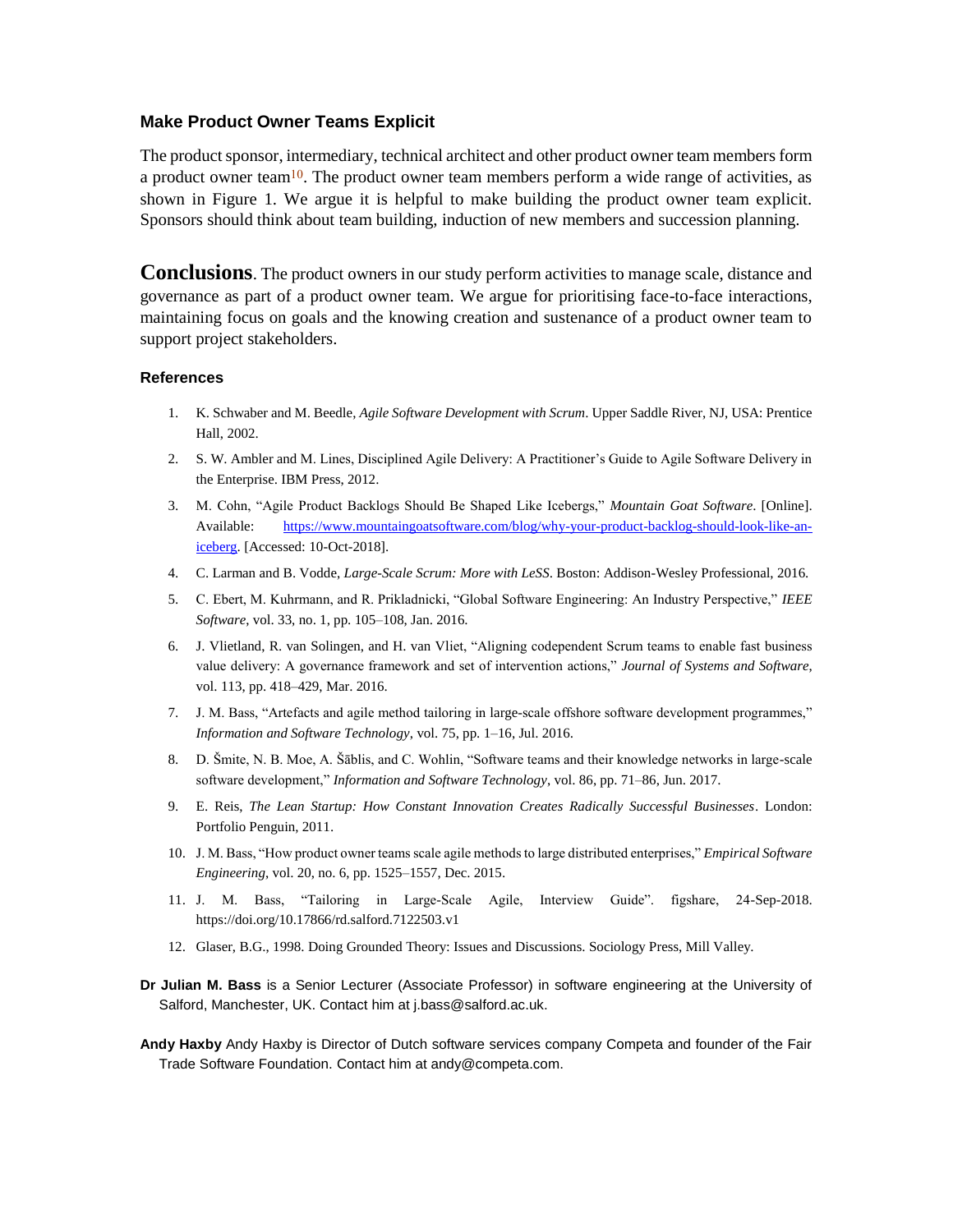#### **Make Product Owner Teams Explicit**

The product sponsor, intermediary, technical architect and other product owner team members form a product owner team<sup>10</sup>. The product owner team members perform a wide range of activities, as shown in Figure 1. We argue it is helpful to make building the product owner team explicit. Sponsors should think about team building, induction of new members and succession planning.

**Conclusions**. The product owners in our study perform activities to manage scale, distance and governance as part of a product owner team. We argue for prioritising face-to-face interactions, maintaining focus on goals and the knowing creation and sustenance of a product owner team to support project stakeholders.

#### **References**

- 1. K. Schwaber and M. Beedle, *Agile Software Development with Scrum*. Upper Saddle River, NJ, USA: Prentice Hall, 2002.
- 2. S. W. Ambler and M. Lines, Disciplined Agile Delivery: A Practitioner's Guide to Agile Software Delivery in the Enterprise. IBM Press, 2012.
- 3. M. Cohn, "Agile Product Backlogs Should Be Shaped Like Icebergs," *Mountain Goat Software*. [Online]. Available: [https://www.mountaingoatsoftware.com/blog/why-your-product-backlog-should-look-like-an](https://www.mountaingoatsoftware.com/blog/why-your-product-backlog-should-look-like-an-iceberg)[iceberg.](https://www.mountaingoatsoftware.com/blog/why-your-product-backlog-should-look-like-an-iceberg) [Accessed: 10-Oct-2018].
- 4. C. Larman and B. Vodde, *Large-Scale Scrum: More with LeSS*. Boston: Addison-Wesley Professional, 2016.
- 5. C. Ebert, M. Kuhrmann, and R. Prikladnicki, "Global Software Engineering: An Industry Perspective," *IEEE Software*, vol. 33, no. 1, pp. 105–108, Jan. 2016.
- 6. J. Vlietland, R. van Solingen, and H. van Vliet, "Aligning codependent Scrum teams to enable fast business value delivery: A governance framework and set of intervention actions," *Journal of Systems and Software*, vol. 113, pp. 418–429, Mar. 2016.
- 7. J. M. Bass, "Artefacts and agile method tailoring in large-scale offshore software development programmes," *Information and Software Technology*, vol. 75, pp. 1–16, Jul. 2016.
- 8. D. Šmite, N. B. Moe, A. Šāblis, and C. Wohlin, "Software teams and their knowledge networks in large-scale software development," *Information and Software Technology*, vol. 86, pp. 71–86, Jun. 2017.
- 9. E. Reis, *The Lean Startup: How Constant Innovation Creates Radically Successful Businesses*. London: Portfolio Penguin, 2011.
- 10. J. M. Bass, "How product owner teams scale agile methods to large distributed enterprises," *Empirical Software Engineering*, vol. 20, no. 6, pp. 1525–1557, Dec. 2015.
- 11. J. M. Bass, "Tailoring in Large-Scale Agile, Interview Guide". figshare, 24-Sep-2018. https://doi.org/10.17866/rd.salford.7122503.v1
- 12. Glaser, B.G., 1998. Doing Grounded Theory: Issues and Discussions. Sociology Press, Mill Valley.
- **Dr Julian M. Bass** is a Senior Lecturer (Associate Professor) in software engineering at the University of Salford, Manchester, UK. Contact him at j.bass@salford.ac.uk.

**Andy Haxby** Andy Haxby is Director of Dutch software services company Competa and founder of the Fair Trade Software Foundation. Contact him at andy@competa.com.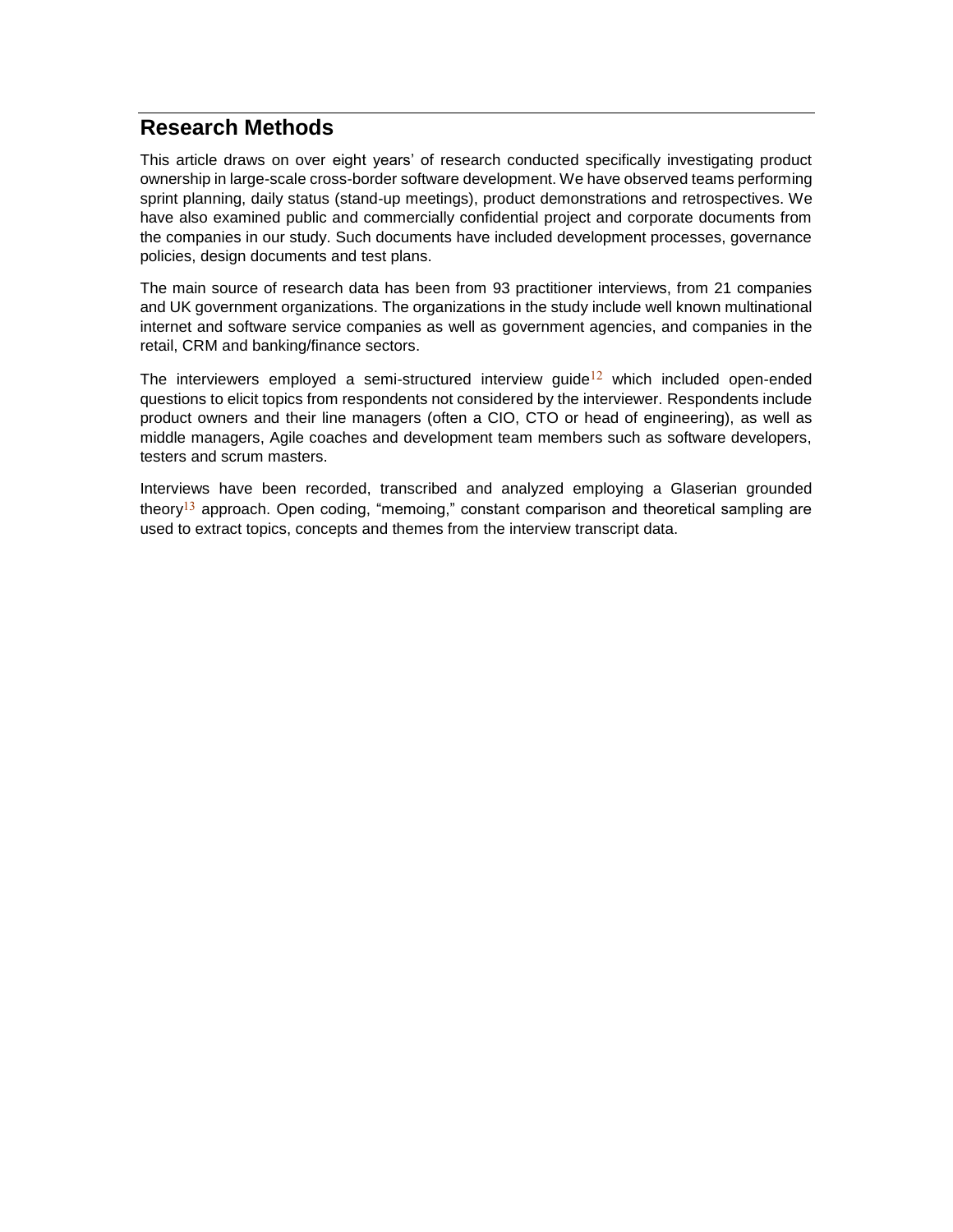# **Research Methods**

This article draws on over eight years' of research conducted specifically investigating product ownership in large-scale cross-border software development. We have observed teams performing sprint planning, daily status (stand-up meetings), product demonstrations and retrospectives. We have also examined public and commercially confidential project and corporate documents from the companies in our study. Such documents have included development processes, governance policies, design documents and test plans.

The main source of research data has been from 93 practitioner interviews, from 21 companies and UK government organizations. The organizations in the study include well known multinational internet and software service companies as well as government agencies, and companies in the retail, CRM and banking/finance sectors.

The interviewers employed a semi-structured interview guide<sup>12</sup> which included open-ended questions to elicit topics from respondents not considered by the interviewer. Respondents include product owners and their line managers (often a CIO, CTO or head of engineering), as well as middle managers, Agile coaches and development team members such as software developers, testers and scrum masters.

Interviews have been recorded, transcribed and analyzed employing a Glaserian grounded theory<sup>13</sup> approach. Open coding, "memoing," constant comparison and theoretical sampling are used to extract topics, concepts and themes from the interview transcript data.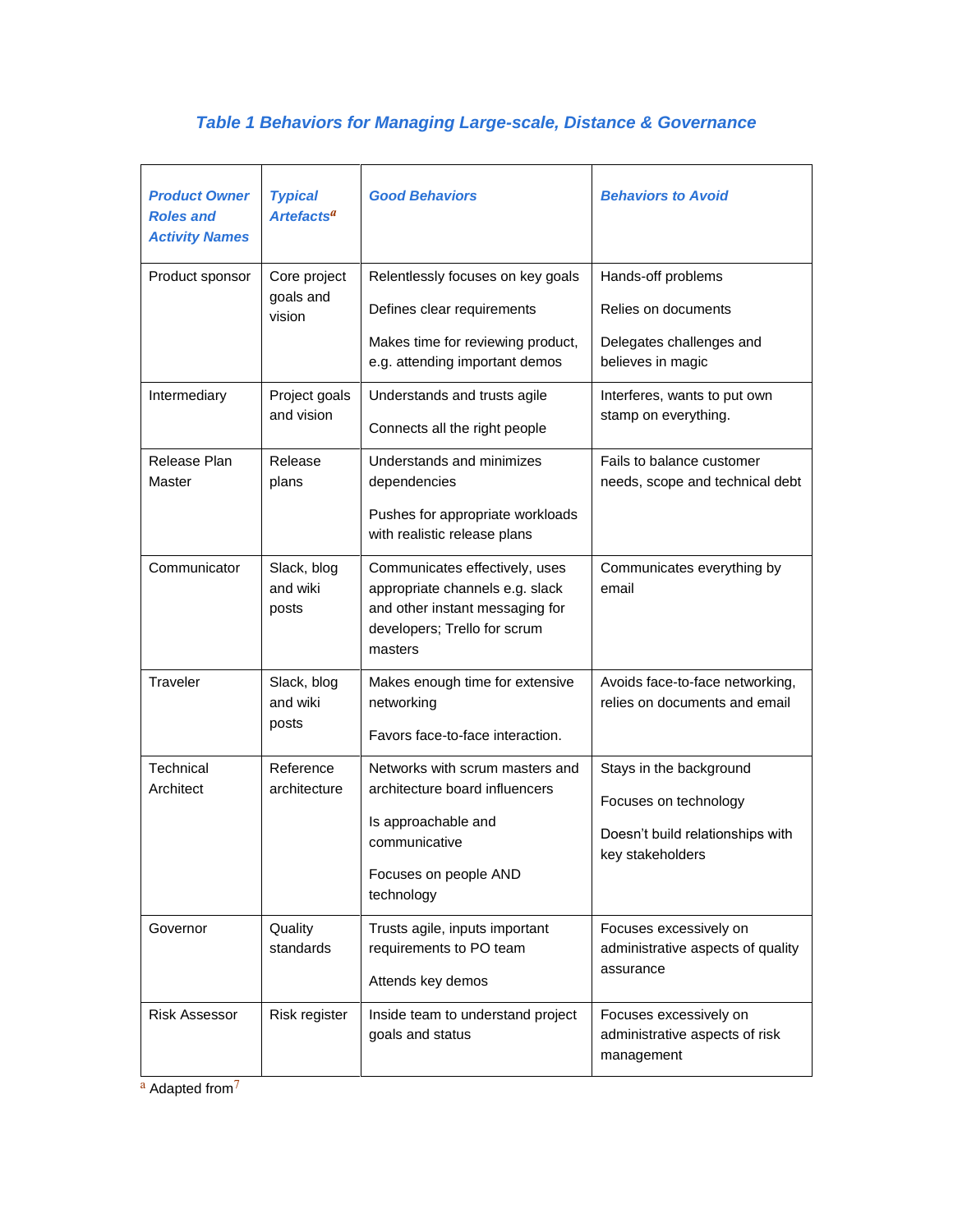# *Table 1 Behaviors for Managing Large-scale, Distance & Governance*

| <b>Product Owner</b><br><b>Roles and</b><br><b>Activity Names</b> | <b>Typical</b><br><b>Artefacts<sup>a</sup></b> | <b>Good Behaviors</b>                                                                                                                            | <b>Behaviors to Avoid</b>                                                                                |
|-------------------------------------------------------------------|------------------------------------------------|--------------------------------------------------------------------------------------------------------------------------------------------------|----------------------------------------------------------------------------------------------------------|
| Product sponsor                                                   | Core project<br>goals and<br>vision            | Relentlessly focuses on key goals<br>Defines clear requirements<br>Makes time for reviewing product,<br>e.g. attending important demos           | Hands-off problems<br>Relies on documents<br>Delegates challenges and<br>believes in magic               |
| Intermediary                                                      | Project goals<br>and vision                    | Understands and trusts agile<br>Connects all the right people                                                                                    | Interferes, wants to put own<br>stamp on everything.                                                     |
| Release Plan<br>Master                                            | Release<br>plans                               | Understands and minimizes<br>dependencies<br>Pushes for appropriate workloads<br>with realistic release plans                                    | Fails to balance customer<br>needs, scope and technical debt                                             |
| Communicator                                                      | Slack, blog<br>and wiki<br>posts               | Communicates effectively, uses<br>appropriate channels e.g. slack<br>and other instant messaging for<br>developers; Trello for scrum<br>masters  | Communicates everything by<br>email                                                                      |
| Traveler                                                          | Slack, blog<br>and wiki<br>posts               | Makes enough time for extensive<br>networking<br>Favors face-to-face interaction.                                                                | Avoids face-to-face networking,<br>relies on documents and email                                         |
| Technical<br>Architect                                            | Reference<br>architecture                      | Networks with scrum masters and<br>architecture board influencers<br>Is approachable and<br>communicative<br>Focuses on people AND<br>technology | Stays in the background<br>Focuses on technology<br>Doesn't build relationships with<br>key stakeholders |
| Governor                                                          | Quality<br>standards                           | Trusts agile, inputs important<br>requirements to PO team<br>Attends key demos                                                                   | Focuses excessively on<br>administrative aspects of quality<br>assurance                                 |
| <b>Risk Assessor</b>                                              | Risk register                                  | Inside team to understand project<br>goals and status                                                                                            | Focuses excessively on<br>administrative aspects of risk<br>management                                   |

a Adapted from<sup>7</sup>